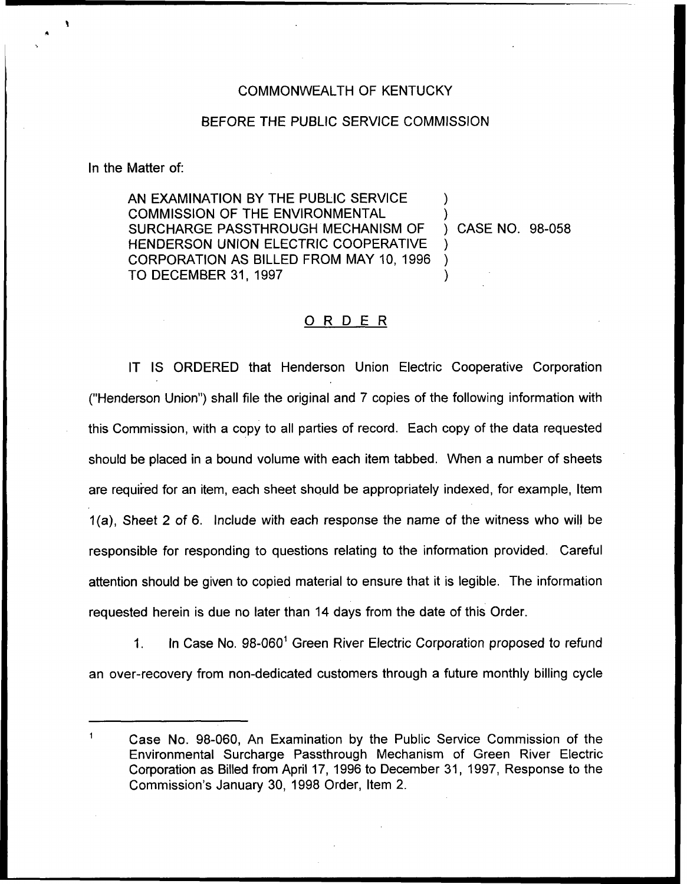## COMMONWEALTH OF KENTUCKY

## BEFORE THE PUBLIC SERVICE COMMISSION

In the Matter of:

AN EXAMINATION BY THE PUBLIC SERVICE COMMISSION OF THE ENVIRONMENTAL SURCHARGE PASSTHROUGH MECHANISM OF HENDERSON UNION ELECTRIC COOPERATIVE CORPORATION AS BILLED FROM MAY 10, 1996 TO DECEMBER 31, 1997

) CASE NO. 98-058

) )

) ) )

## ORDER

IT IS ORDERED that Henderson Union Electric Cooperative Corporation ("Henderson Union") shall file the original and 7 copies of the following information witl this Commission, with a copy to all parties of record. Each copy of the data requested should be placed in a bound volume with each item tabbed. When a number of sheets are required for an item, each sheet should be appropriately indexed, for example, Item 1(a), Sheet 2 of 6. Include with each response the name of the witness who will be responsible for responding to questions relating to the information provided. Careful attention should be given to copied material to ensure that it is legible. The information requested herein is due no later than 14 days from the date of this Order.

 $1<sub>1</sub>$ In Case No. 98-060" Green River Electric Corporation proposed to refund an over-recovery from non-dedicated customers through a future monthly billing cycle

Case No. 98-060, An Examination by the Public Service Commission of the Environmental Surcharge Passthrough Mechanism of Green River Electric Corporation as Billed from April 17, 1996 to December 31, 1997, Response to the Commission's January 30, 1998 Order, Item 2.